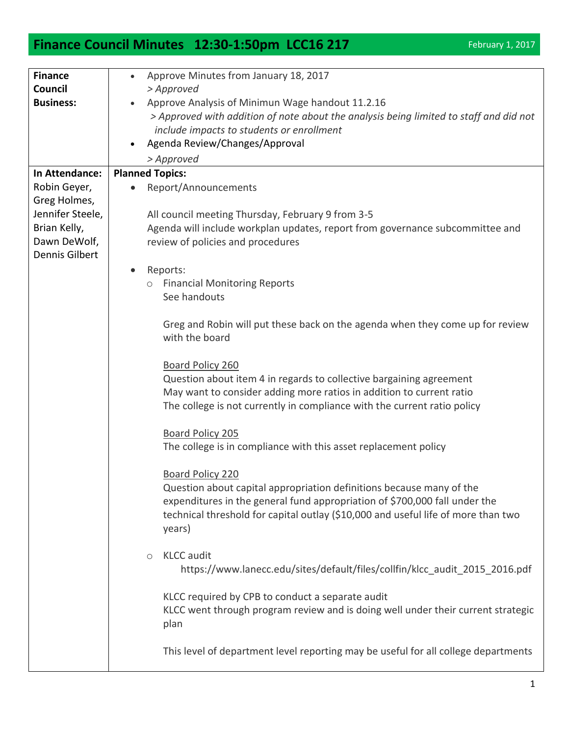## **Finance Council Minutes 12:30-1:50pm LCC16 217** February 1, 2017

| <b>Finance</b>   | Approve Minutes from January 18, 2017                                                          |
|------------------|------------------------------------------------------------------------------------------------|
| Council          | > Approved                                                                                     |
| <b>Business:</b> | Approve Analysis of Minimun Wage handout 11.2.16                                               |
|                  | > Approved with addition of note about the analysis being limited to staff and did not         |
|                  | include impacts to students or enrollment                                                      |
|                  | Agenda Review/Changes/Approval                                                                 |
|                  | > Approved                                                                                     |
| In Attendance:   | <b>Planned Topics:</b>                                                                         |
| Robin Geyer,     | Report/Announcements                                                                           |
| Greg Holmes,     |                                                                                                |
| Jennifer Steele, | All council meeting Thursday, February 9 from 3-5                                              |
| Brian Kelly,     | Agenda will include workplan updates, report from governance subcommittee and                  |
| Dawn DeWolf,     | review of policies and procedures                                                              |
| Dennis Gilbert   |                                                                                                |
|                  | Reports:                                                                                       |
|                  | <b>Financial Monitoring Reports</b><br>$\circ$                                                 |
|                  | See handouts                                                                                   |
|                  |                                                                                                |
|                  | Greg and Robin will put these back on the agenda when they come up for review                  |
|                  | with the board                                                                                 |
|                  |                                                                                                |
|                  | <b>Board Policy 260</b><br>Question about item 4 in regards to collective bargaining agreement |
|                  | May want to consider adding more ratios in addition to current ratio                           |
|                  | The college is not currently in compliance with the current ratio policy                       |
|                  |                                                                                                |
|                  | <b>Board Policy 205</b>                                                                        |
|                  | The college is in compliance with this asset replacement policy                                |
|                  |                                                                                                |
|                  | <b>Board Policy 220</b>                                                                        |
|                  | Question about capital appropriation definitions because many of the                           |
|                  | expenditures in the general fund appropriation of \$700,000 fall under the                     |
|                  | technical threshold for capital outlay (\$10,000 and useful life of more than two              |
|                  | years)                                                                                         |
|                  |                                                                                                |
|                  | <b>KLCC</b> audit<br>$\circ$                                                                   |
|                  | https://www.lanecc.edu/sites/default/files/collfin/klcc_audit_2015 2016.pdf                    |
|                  |                                                                                                |
|                  | KLCC required by CPB to conduct a separate audit                                               |
|                  | KLCC went through program review and is doing well under their current strategic               |
|                  | plan                                                                                           |
|                  |                                                                                                |
|                  | This level of department level reporting may be useful for all college departments             |
|                  |                                                                                                |